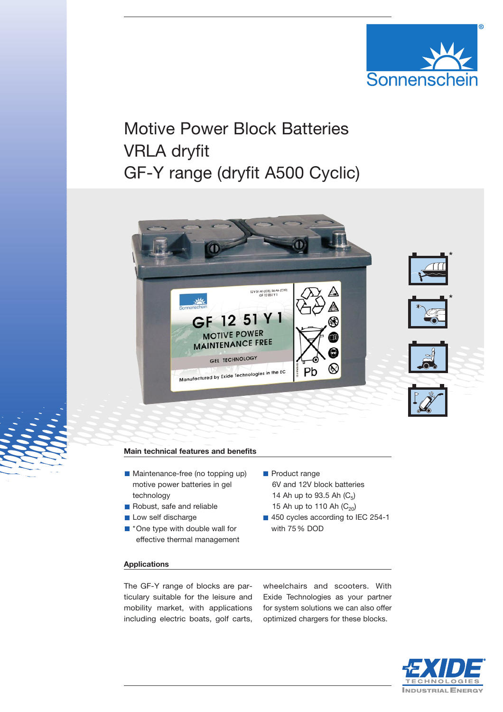

# Motive Power Block Batteries VRLA dryfit GF-Y range (dryfit A500 Cyclic)



**Product range** 

with 75 % DOD

6V and 12V block batteries 14 Ah up to 93.5 Ah  $(C_5)$ 15 Ah up to 110 Ah  $(C_{20})$ 450 cycles according to IEC 254-1

### **Main technical features and benefits**

- **Maintenance-free (no topping up)** motive power batteries in gel technology
- Robust, safe and reliable
- Low self discharge
- \*One type with double wall for effective thermal management

#### **Applications**

The GF-Y range of blocks are particulary suitable for the leisure and mobility market, with applications including electric boats, golf carts,

wheelchairs and scooters. With Exide Technologies as your partner for system solutions we can also offer optimized chargers for these blocks.